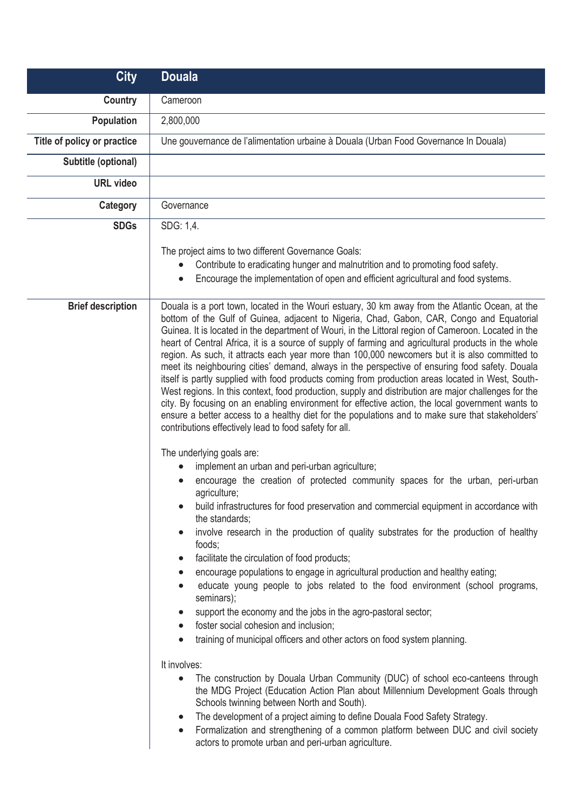| <b>City</b>                 | <b>Douala</b>                                                                                                                                                                                                                                                                                                                                                                                                                                                                                                                                                                                                                                                                                                                                                                                                                                                                                                                                                                                                                                                                                   |
|-----------------------------|-------------------------------------------------------------------------------------------------------------------------------------------------------------------------------------------------------------------------------------------------------------------------------------------------------------------------------------------------------------------------------------------------------------------------------------------------------------------------------------------------------------------------------------------------------------------------------------------------------------------------------------------------------------------------------------------------------------------------------------------------------------------------------------------------------------------------------------------------------------------------------------------------------------------------------------------------------------------------------------------------------------------------------------------------------------------------------------------------|
| <b>Country</b>              | Cameroon                                                                                                                                                                                                                                                                                                                                                                                                                                                                                                                                                                                                                                                                                                                                                                                                                                                                                                                                                                                                                                                                                        |
| <b>Population</b>           | 2,800,000                                                                                                                                                                                                                                                                                                                                                                                                                                                                                                                                                                                                                                                                                                                                                                                                                                                                                                                                                                                                                                                                                       |
| Title of policy or practice | Une gouvernance de l'alimentation urbaine à Douala (Urban Food Governance In Douala)                                                                                                                                                                                                                                                                                                                                                                                                                                                                                                                                                                                                                                                                                                                                                                                                                                                                                                                                                                                                            |
| Subtitle (optional)         |                                                                                                                                                                                                                                                                                                                                                                                                                                                                                                                                                                                                                                                                                                                                                                                                                                                                                                                                                                                                                                                                                                 |
| <b>URL</b> video            |                                                                                                                                                                                                                                                                                                                                                                                                                                                                                                                                                                                                                                                                                                                                                                                                                                                                                                                                                                                                                                                                                                 |
| Category                    | Governance                                                                                                                                                                                                                                                                                                                                                                                                                                                                                                                                                                                                                                                                                                                                                                                                                                                                                                                                                                                                                                                                                      |
| <b>SDGs</b>                 | SDG: 1,4.                                                                                                                                                                                                                                                                                                                                                                                                                                                                                                                                                                                                                                                                                                                                                                                                                                                                                                                                                                                                                                                                                       |
|                             | The project aims to two different Governance Goals:<br>Contribute to eradicating hunger and malnutrition and to promoting food safety.<br>$\bullet$<br>Encourage the implementation of open and efficient agricultural and food systems.<br>$\bullet$                                                                                                                                                                                                                                                                                                                                                                                                                                                                                                                                                                                                                                                                                                                                                                                                                                           |
| <b>Brief description</b>    | Douala is a port town, located in the Wouri estuary, 30 km away from the Atlantic Ocean, at the<br>bottom of the Gulf of Guinea, adjacent to Nigeria, Chad, Gabon, CAR, Congo and Equatorial<br>Guinea. It is located in the department of Wouri, in the Littoral region of Cameroon. Located in the<br>heart of Central Africa, it is a source of supply of farming and agricultural products in the whole<br>region. As such, it attracts each year more than 100,000 newcomers but it is also committed to<br>meet its neighbouring cities' demand, always in the perspective of ensuring food safety. Douala<br>itself is partly supplied with food products coming from production areas located in West, South-<br>West regions. In this context, food production, supply and distribution are major challenges for the<br>city. By focusing on an enabling environment for effective action, the local government wants to<br>ensure a better access to a healthy diet for the populations and to make sure that stakeholders'<br>contributions effectively lead to food safety for all. |
|                             | The underlying goals are:                                                                                                                                                                                                                                                                                                                                                                                                                                                                                                                                                                                                                                                                                                                                                                                                                                                                                                                                                                                                                                                                       |
|                             | implement an urban and peri-urban agriculture;<br>encourage the creation of protected community spaces for the urban, peri-urban<br>agriculture;                                                                                                                                                                                                                                                                                                                                                                                                                                                                                                                                                                                                                                                                                                                                                                                                                                                                                                                                                |
|                             | build infrastructures for food preservation and commercial equipment in accordance with<br>the standards;                                                                                                                                                                                                                                                                                                                                                                                                                                                                                                                                                                                                                                                                                                                                                                                                                                                                                                                                                                                       |
|                             | involve research in the production of quality substrates for the production of healthy<br>$\bullet$<br>foods;                                                                                                                                                                                                                                                                                                                                                                                                                                                                                                                                                                                                                                                                                                                                                                                                                                                                                                                                                                                   |
|                             | facilitate the circulation of food products;<br>$\bullet$<br>encourage populations to engage in agricultural production and healthy eating;<br>$\bullet$                                                                                                                                                                                                                                                                                                                                                                                                                                                                                                                                                                                                                                                                                                                                                                                                                                                                                                                                        |
|                             | educate young people to jobs related to the food environment (school programs,<br>$\bullet$<br>seminars);                                                                                                                                                                                                                                                                                                                                                                                                                                                                                                                                                                                                                                                                                                                                                                                                                                                                                                                                                                                       |
|                             | support the economy and the jobs in the agro-pastoral sector;<br>$\bullet$<br>foster social cohesion and inclusion;                                                                                                                                                                                                                                                                                                                                                                                                                                                                                                                                                                                                                                                                                                                                                                                                                                                                                                                                                                             |
|                             | $\bullet$<br>training of municipal officers and other actors on food system planning.<br>$\bullet$                                                                                                                                                                                                                                                                                                                                                                                                                                                                                                                                                                                                                                                                                                                                                                                                                                                                                                                                                                                              |
|                             | It involves:                                                                                                                                                                                                                                                                                                                                                                                                                                                                                                                                                                                                                                                                                                                                                                                                                                                                                                                                                                                                                                                                                    |
|                             | The construction by Douala Urban Community (DUC) of school eco-canteens through<br>$\bullet$<br>the MDG Project (Education Action Plan about Millennium Development Goals through<br>Schools twinning between North and South).                                                                                                                                                                                                                                                                                                                                                                                                                                                                                                                                                                                                                                                                                                                                                                                                                                                                 |
|                             | The development of a project aiming to define Douala Food Safety Strategy.<br>$\bullet$<br>Formalization and strengthening of a common platform between DUC and civil society<br>$\bullet$<br>actors to promote urban and peri-urban agriculture.                                                                                                                                                                                                                                                                                                                                                                                                                                                                                                                                                                                                                                                                                                                                                                                                                                               |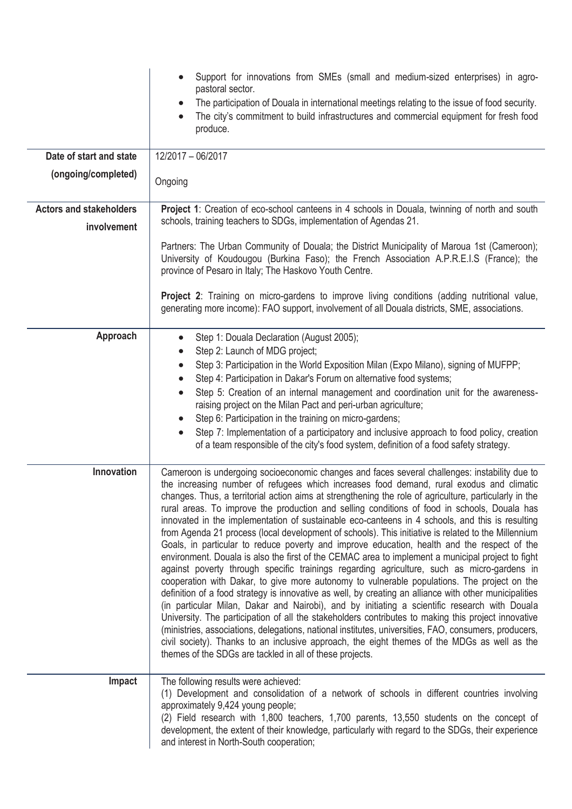|                                               | Support for innovations from SMEs (small and medium-sized enterprises) in agro-<br>pastoral sector.<br>The participation of Douala in international meetings relating to the issue of food security.<br>The city's commitment to build infrastructures and commercial equipment for fresh food<br>$\bullet$<br>produce.                                                                                                                                                                                                                                                                                                                                                                                                                                                                                                                                                                                                                                                                                                                                                                                                                                                                                                                                                                                                                                                                                                                                                                                                                                                                               |
|-----------------------------------------------|-------------------------------------------------------------------------------------------------------------------------------------------------------------------------------------------------------------------------------------------------------------------------------------------------------------------------------------------------------------------------------------------------------------------------------------------------------------------------------------------------------------------------------------------------------------------------------------------------------------------------------------------------------------------------------------------------------------------------------------------------------------------------------------------------------------------------------------------------------------------------------------------------------------------------------------------------------------------------------------------------------------------------------------------------------------------------------------------------------------------------------------------------------------------------------------------------------------------------------------------------------------------------------------------------------------------------------------------------------------------------------------------------------------------------------------------------------------------------------------------------------------------------------------------------------------------------------------------------------|
| Date of start and state                       | 12/2017 - 06/2017                                                                                                                                                                                                                                                                                                                                                                                                                                                                                                                                                                                                                                                                                                                                                                                                                                                                                                                                                                                                                                                                                                                                                                                                                                                                                                                                                                                                                                                                                                                                                                                     |
| (ongoing/completed)                           | Ongoing                                                                                                                                                                                                                                                                                                                                                                                                                                                                                                                                                                                                                                                                                                                                                                                                                                                                                                                                                                                                                                                                                                                                                                                                                                                                                                                                                                                                                                                                                                                                                                                               |
| <b>Actors and stakeholders</b><br>involvement | <b>Project 1:</b> Creation of eco-school canteens in 4 schools in Douala, twinning of north and south<br>schools, training teachers to SDGs, implementation of Agendas 21.                                                                                                                                                                                                                                                                                                                                                                                                                                                                                                                                                                                                                                                                                                                                                                                                                                                                                                                                                                                                                                                                                                                                                                                                                                                                                                                                                                                                                            |
|                                               | Partners: The Urban Community of Douala; the District Municipality of Maroua 1st (Cameroon);<br>University of Koudougou (Burkina Faso); the French Association A.P.R.E.I.S (France); the<br>province of Pesaro in Italy; The Haskovo Youth Centre.                                                                                                                                                                                                                                                                                                                                                                                                                                                                                                                                                                                                                                                                                                                                                                                                                                                                                                                                                                                                                                                                                                                                                                                                                                                                                                                                                    |
|                                               | Project 2: Training on micro-gardens to improve living conditions (adding nutritional value,<br>generating more income): FAO support, involvement of all Douala districts, SME, associations.                                                                                                                                                                                                                                                                                                                                                                                                                                                                                                                                                                                                                                                                                                                                                                                                                                                                                                                                                                                                                                                                                                                                                                                                                                                                                                                                                                                                         |
| Approach                                      | Step 1: Douala Declaration (August 2005);<br>$\bullet$<br>Step 2: Launch of MDG project;<br>$\bullet$<br>Step 3: Participation in the World Exposition Milan (Expo Milano), signing of MUFPP;<br>$\bullet$<br>Step 4: Participation in Dakar's Forum on alternative food systems;<br>$\bullet$<br>Step 5: Creation of an internal management and coordination unit for the awareness-<br>$\bullet$<br>raising project on the Milan Pact and peri-urban agriculture;<br>Step 6: Participation in the training on micro-gardens;<br>$\bullet$<br>Step 7: Implementation of a participatory and inclusive approach to food policy, creation<br>$\bullet$<br>of a team responsible of the city's food system, definition of a food safety strategy.                                                                                                                                                                                                                                                                                                                                                                                                                                                                                                                                                                                                                                                                                                                                                                                                                                                       |
| Innovation                                    | Cameroon is undergoing socioeconomic changes and faces several challenges: instability due to<br>the increasing number of refugees which increases food demand, rural exodus and climatic<br>changes. Thus, a territorial action aims at strengthening the role of agriculture, particularly in the<br>rural areas. To improve the production and selling conditions of food in schools, Douala has<br>innovated in the implementation of sustainable eco-canteens in 4 schools, and this is resulting<br>from Agenda 21 process (local development of schools). This initiative is related to the Millennium<br>Goals, in particular to reduce poverty and improve education, health and the respect of the<br>environment. Douala is also the first of the CEMAC area to implement a municipal project to fight<br>against poverty through specific trainings regarding agriculture, such as micro-gardens in<br>cooperation with Dakar, to give more autonomy to vulnerable populations. The project on the<br>definition of a food strategy is innovative as well, by creating an alliance with other municipalities<br>(in particular Milan, Dakar and Nairobi), and by initiating a scientific research with Douala<br>University. The participation of all the stakeholders contributes to making this project innovative<br>(ministries, associations, delegations, national institutes, universities, FAO, consumers, producers,<br>civil society). Thanks to an inclusive approach, the eight themes of the MDGs as well as the<br>themes of the SDGs are tackled in all of these projects. |
| Impact                                        | The following results were achieved:<br>(1) Development and consolidation of a network of schools in different countries involving<br>approximately 9,424 young people;<br>(2) Field research with 1,800 teachers, 1,700 parents, 13,550 students on the concept of<br>development, the extent of their knowledge, particularly with regard to the SDGs, their experience<br>and interest in North-South cooperation;                                                                                                                                                                                                                                                                                                                                                                                                                                                                                                                                                                                                                                                                                                                                                                                                                                                                                                                                                                                                                                                                                                                                                                                 |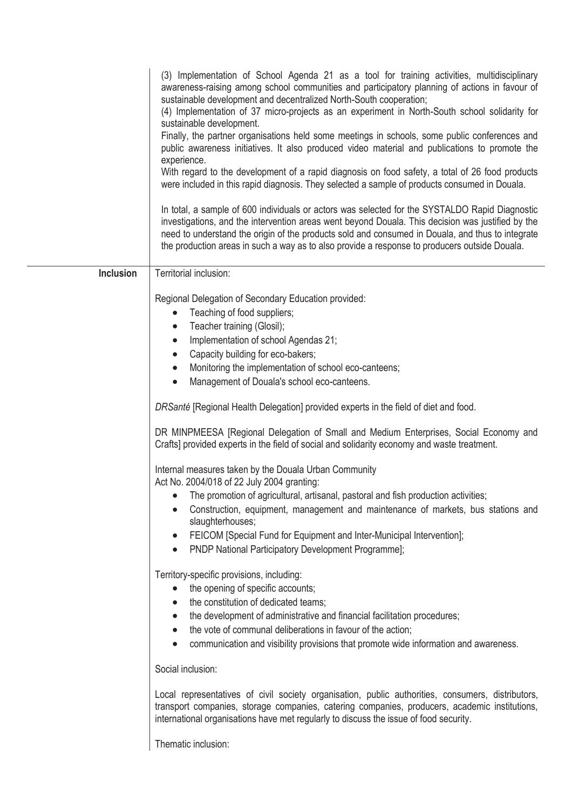|                  | (3) Implementation of School Agenda 21 as a tool for training activities, multidisciplinary<br>awareness-raising among school communities and participatory planning of actions in favour of<br>sustainable development and decentralized North-South cooperation;<br>(4) Implementation of 37 micro-projects as an experiment in North-South school solidarity for<br>sustainable development.<br>Finally, the partner organisations held some meetings in schools, some public conferences and<br>public awareness initiatives. It also produced video material and publications to promote the<br>experience.<br>With regard to the development of a rapid diagnosis on food safety, a total of 26 food products<br>were included in this rapid diagnosis. They selected a sample of products consumed in Douala.<br>In total, a sample of 600 individuals or actors was selected for the SYSTALDO Rapid Diagnostic<br>investigations, and the intervention areas went beyond Douala. This decision was justified by the<br>need to understand the origin of the products sold and consumed in Douala, and thus to integrate<br>the production areas in such a way as to also provide a response to producers outside Douala. |
|------------------|----------------------------------------------------------------------------------------------------------------------------------------------------------------------------------------------------------------------------------------------------------------------------------------------------------------------------------------------------------------------------------------------------------------------------------------------------------------------------------------------------------------------------------------------------------------------------------------------------------------------------------------------------------------------------------------------------------------------------------------------------------------------------------------------------------------------------------------------------------------------------------------------------------------------------------------------------------------------------------------------------------------------------------------------------------------------------------------------------------------------------------------------------------------------------------------------------------------------------------|
| <b>Inclusion</b> | Territorial inclusion:                                                                                                                                                                                                                                                                                                                                                                                                                                                                                                                                                                                                                                                                                                                                                                                                                                                                                                                                                                                                                                                                                                                                                                                                           |
|                  | Regional Delegation of Secondary Education provided:<br>Teaching of food suppliers;<br>Teacher training (Glosil);<br>$\bullet$<br>Implementation of school Agendas 21;<br>Capacity building for eco-bakers;<br>$\bullet$<br>Monitoring the implementation of school eco-canteens;<br>$\bullet$<br>Management of Douala's school eco-canteens.<br>$\bullet$<br>DRSanté [Regional Health Delegation] provided experts in the field of diet and food.<br>DR MINPMEESA [Regional Delegation of Small and Medium Enterprises, Social Economy and<br>Crafts] provided experts in the field of social and solidarity economy and waste treatment.<br>Internal measures taken by the Douala Urban Community<br>Act No. 2004/018 of 22 July 2004 granting:<br>The promotion of agricultural, artisanal, pastoral and fish production activities;<br>Construction, equipment, management and maintenance of markets, bus stations and<br>slaughterhouses;<br>FEICOM [Special Fund for Equipment and Inter-Municipal Intervention];<br>PNDP National Participatory Development Programme];                                                                                                                                                  |
|                  | Territory-specific provisions, including:<br>the opening of specific accounts;<br>the constitution of dedicated teams;<br>the development of administrative and financial facilitation procedures;<br>the vote of communal deliberations in favour of the action;<br>communication and visibility provisions that promote wide information and awareness.                                                                                                                                                                                                                                                                                                                                                                                                                                                                                                                                                                                                                                                                                                                                                                                                                                                                        |
|                  | Social inclusion:                                                                                                                                                                                                                                                                                                                                                                                                                                                                                                                                                                                                                                                                                                                                                                                                                                                                                                                                                                                                                                                                                                                                                                                                                |
|                  | Local representatives of civil society organisation, public authorities, consumers, distributors,<br>transport companies, storage companies, catering companies, producers, academic institutions,<br>international organisations have met regularly to discuss the issue of food security.                                                                                                                                                                                                                                                                                                                                                                                                                                                                                                                                                                                                                                                                                                                                                                                                                                                                                                                                      |
|                  | Thematic inclusion:                                                                                                                                                                                                                                                                                                                                                                                                                                                                                                                                                                                                                                                                                                                                                                                                                                                                                                                                                                                                                                                                                                                                                                                                              |